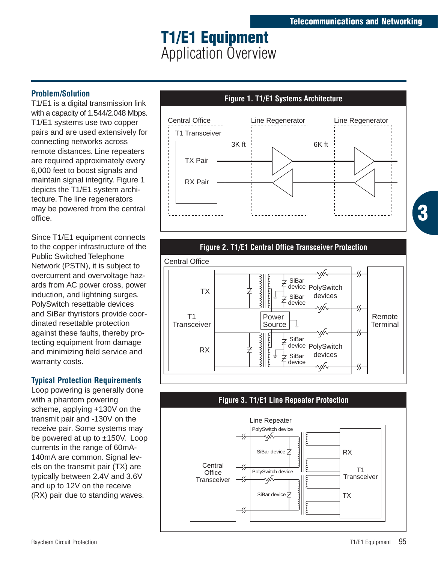# **T1/E1 Equipment** Application Overview

#### **Problem/Solution**

T1/E1 is a digital transmission link with a capacity of 1.544/2.048 Mbps. T1/E1 systems use two copper pairs and are used extensively for connecting networks across remote distances. Line repeaters are required approximately every 6,000 feet to boost signals and maintain signal integrity. Figure 1 depicts the T1/E1 system architecture. The line regenerators may be powered from the central office.

Since T1/E1 equipment connects to the copper infrastructure of the Public Switched Telephone Network (PSTN), it is subject to overcurrent and overvoltage hazards from AC power cross, power induction, and lightning surges. PolySwitch resettable devices and SiBar thyristors provide coordinated resettable protection against these faults, thereby protecting equipment from damage and minimizing field service and warranty costs.

## **Typical Protection Requirements**

Loop powering is generally done with a phantom powering scheme, applying +130V on the transmit pair and -130V on the receive pair. Some systems may be powered at up to ±150V. Loop currents in the range of 60mA-140mA are common. Signal levels on the transmit pair (TX) are typically between 2.4V and 3.6V and up to 12V on the receive (RX) pair due to standing waves.





### **Figure 3. T1/E1 Line Repeater Protection** Line Repeater PolySwitch device SiBar device  $\overset{\scriptscriptstyle +}{\neq}$ RX **Central** T1 **Office** PolySwitch device **Transceiver Transceiver** ⅍ SiBar device  $\neq$ TX